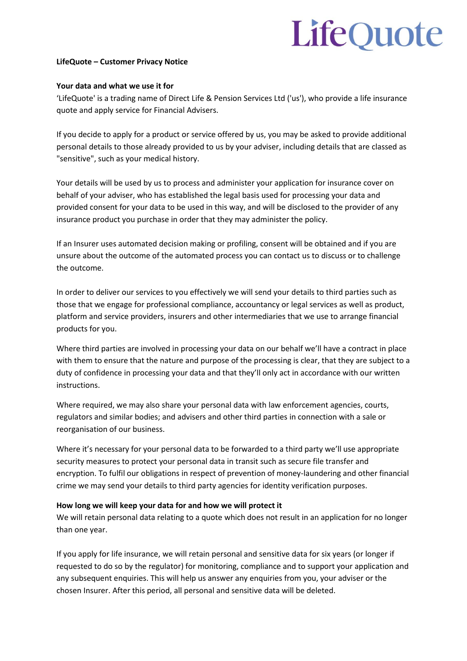# LifeQuote

## **LifeQuote – Customer Privacy Notice**

### **Your data and what we use it for**

'LifeQuote' is a trading name of Direct Life & Pension Services Ltd ('us'), who provide a life insurance quote and apply service for Financial Advisers.

If you decide to apply for a product or service offered by us, you may be asked to provide additional personal details to those already provided to us by your adviser, including details that are classed as "sensitive", such as your medical history.

Your details will be used by us to process and administer your application for insurance cover on behalf of your adviser, who has established the legal basis used for processing your data and provided consent for your data to be used in this way, and will be disclosed to the provider of any insurance product you purchase in order that they may administer the policy.

If an Insurer uses automated decision making or profiling, consent will be obtained and if you are unsure about the outcome of the automated process you can contact us to discuss or to challenge the outcome.

In order to deliver our services to you effectively we will send your details to third parties such as those that we engage for professional compliance, accountancy or legal services as well as product, platform and service providers, insurers and other intermediaries that we use to arrange financial products for you.

Where third parties are involved in processing your data on our behalf we'll have a contract in place with them to ensure that the nature and purpose of the processing is clear, that they are subject to a duty of confidence in processing your data and that they'll only act in accordance with our written instructions.

Where required, we may also share your personal data with law enforcement agencies, courts, regulators and similar bodies; and advisers and other third parties in connection with a sale or reorganisation of our business.

Where it's necessary for your personal data to be forwarded to a third party we'll use appropriate security measures to protect your personal data in transit such as secure file transfer and encryption. To fulfil our obligations in respect of prevention of money-laundering and other financial crime we may send your details to third party agencies for identity verification purposes.

# **How long we will keep your data for and how we will protect it**

We will retain personal data relating to a quote which does not result in an application for no longer than one year.

If you apply for life insurance, we will retain personal and sensitive data for six years (or longer if requested to do so by the regulator) for monitoring, compliance and to support your application and any subsequent enquiries. This will help us answer any enquiries from you, your adviser or the chosen Insurer. After this period, all personal and sensitive data will be deleted.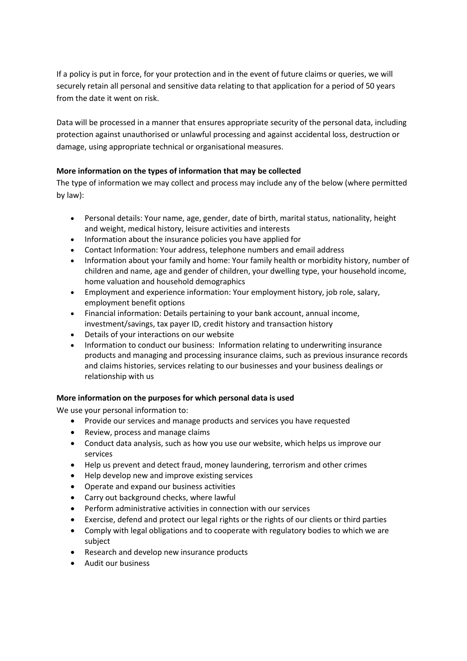If a policy is put in force, for your protection and in the event of future claims or queries, we will securely retain all personal and sensitive data relating to that application for a period of 50 years from the date it went on risk.

Data will be processed in a manner that ensures appropriate security of the personal data, including protection against unauthorised or unlawful processing and against accidental loss, destruction or damage, using appropriate technical or organisational measures.

# **More information on the types of information that may be collected**

The type of information we may collect and process may include any of the below (where permitted by law):

- Personal details: Your name, age, gender, date of birth, marital status, nationality, height and weight, medical history, leisure activities and interests
- Information about the insurance policies you have applied for
- Contact Information: Your address, telephone numbers and email address
- Information about your family and home: Your family health or morbidity history, number of children and name, age and gender of children, your dwelling type, your household income, home valuation and household demographics
- Employment and experience information: Your employment history, job role, salary, employment benefit options
- Financial information: Details pertaining to your bank account, annual income, investment/savings, tax payer ID, credit history and transaction history
- Details of your interactions on our website
- Information to conduct our business: Information relating to underwriting insurance products and managing and processing insurance claims, such as previous insurance records and claims histories, services relating to our businesses and your business dealings or relationship with us

# **More information on the purposes for which personal data is used**

We use your personal information to:

- Provide our services and manage products and services you have requested
- Review, process and manage claims
- Conduct data analysis, such as how you use our website, which helps us improve our services
- Help us prevent and detect fraud, money laundering, terrorism and other crimes
- Help develop new and improve existing services
- Operate and expand our business activities
- Carry out background checks, where lawful
- Perform administrative activities in connection with our services
- Exercise, defend and protect our legal rights or the rights of our clients or third parties
- Comply with legal obligations and to cooperate with regulatory bodies to which we are subject
- Research and develop new insurance products
- Audit our business